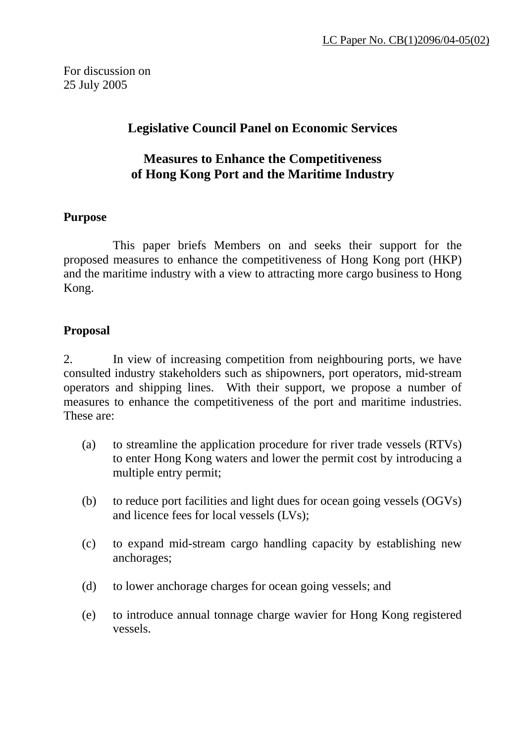For discussion on 25 July 2005

# **Legislative Council Panel on Economic Services**

# **Measures to Enhance the Competitiveness of Hong Kong Port and the Maritime Industry**

#### **Purpose**

 This paper briefs Members on and seeks their support for the proposed measures to enhance the competitiveness of Hong Kong port (HKP) and the maritime industry with a view to attracting more cargo business to Hong Kong.

### **Proposal**

2. In view of increasing competition from neighbouring ports, we have consulted industry stakeholders such as shipowners, port operators, mid-stream operators and shipping lines. With their support, we propose a number of measures to enhance the competitiveness of the port and maritime industries. These are:

- (a) to streamline the application procedure for river trade vessels (RTVs) to enter Hong Kong waters and lower the permit cost by introducing a multiple entry permit;
- (b) to reduce port facilities and light dues for ocean going vessels (OGVs) and licence fees for local vessels (LVs);
- (c) to expand mid-stream cargo handling capacity by establishing new anchorages;
- (d) to lower anchorage charges for ocean going vessels; and
- (e) to introduce annual tonnage charge wavier for Hong Kong registered vessels.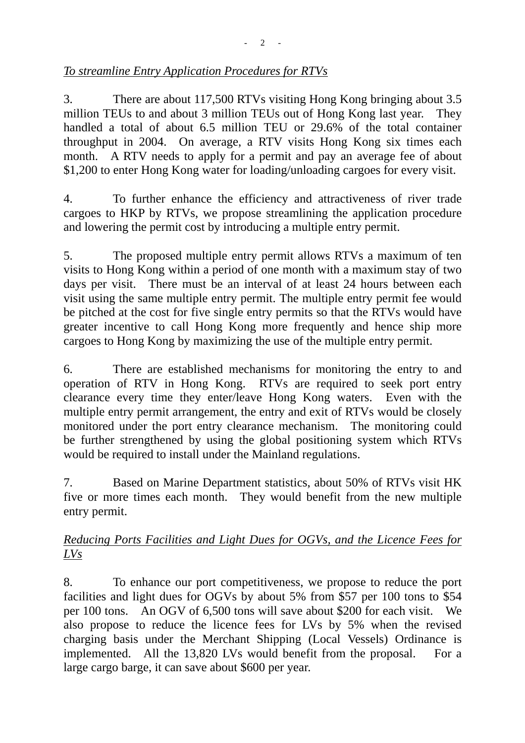## *To streamline Entry Application Procedures for RTVs*

3. There are about 117,500 RTVs visiting Hong Kong bringing about 3.5 million TEUs to and about 3 million TEUs out of Hong Kong last year. They handled a total of about 6.5 million TEU or 29.6% of the total container throughput in 2004. On average, a RTV visits Hong Kong six times each month. A RTV needs to apply for a permit and pay an average fee of about \$1,200 to enter Hong Kong water for loading/unloading cargoes for every visit.

4. To further enhance the efficiency and attractiveness of river trade cargoes to HKP by RTVs, we propose streamlining the application procedure and lowering the permit cost by introducing a multiple entry permit.

5. The proposed multiple entry permit allows RTVs a maximum of ten visits to Hong Kong within a period of one month with a maximum stay of two days per visit. There must be an interval of at least 24 hours between each visit using the same multiple entry permit. The multiple entry permit fee would be pitched at the cost for five single entry permits so that the RTVs would have greater incentive to call Hong Kong more frequently and hence ship more cargoes to Hong Kong by maximizing the use of the multiple entry permit.

6. There are established mechanisms for monitoring the entry to and operation of RTV in Hong Kong. RTVs are required to seek port entry clearance every time they enter/leave Hong Kong waters. Even with the multiple entry permit arrangement, the entry and exit of RTVs would be closely monitored under the port entry clearance mechanism. The monitoring could be further strengthened by using the global positioning system which RTVs would be required to install under the Mainland regulations.

7. Based on Marine Department statistics, about 50% of RTVs visit HK five or more times each month. They would benefit from the new multiple entry permit.

### *Reducing Ports Facilities and Light Dues for OGVs, and the Licence Fees for LVs*

8. To enhance our port competitiveness, we propose to reduce the port facilities and light dues for OGVs by about 5% from \$57 per 100 tons to \$54 per 100 tons. An OGV of 6,500 tons will save about \$200 for each visit. We also propose to reduce the licence fees for LVs by 5% when the revised charging basis under the Merchant Shipping (Local Vessels) Ordinance is implemented. All the 13,820 LVs would benefit from the proposal. For a large cargo barge, it can save about \$600 per year.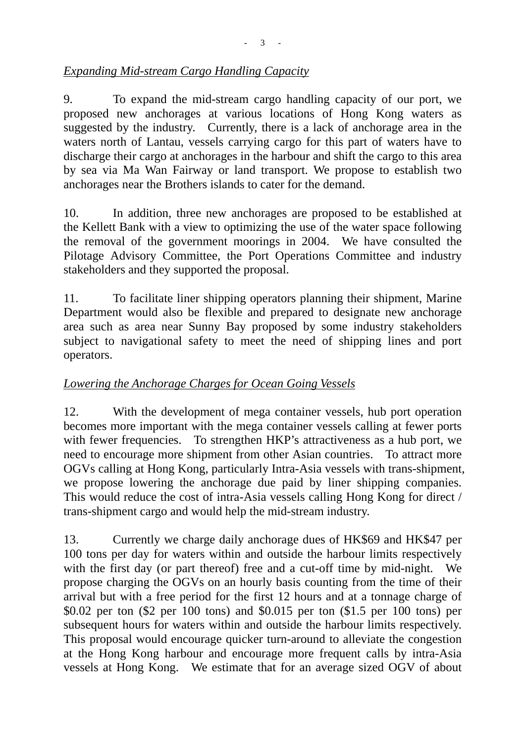### *Expanding Mid-stream Cargo Handling Capacity*

9. To expand the mid-stream cargo handling capacity of our port, we proposed new anchorages at various locations of Hong Kong waters as suggested by the industry. Currently, there is a lack of anchorage area in the waters north of Lantau, vessels carrying cargo for this part of waters have to discharge their cargo at anchorages in the harbour and shift the cargo to this area by sea via Ma Wan Fairway or land transport. We propose to establish two anchorages near the Brothers islands to cater for the demand.

10. In addition, three new anchorages are proposed to be established at the Kellett Bank with a view to optimizing the use of the water space following the removal of the government moorings in 2004. We have consulted the Pilotage Advisory Committee, the Port Operations Committee and industry stakeholders and they supported the proposal.

11. To facilitate liner shipping operators planning their shipment, Marine Department would also be flexible and prepared to designate new anchorage area such as area near Sunny Bay proposed by some industry stakeholders subject to navigational safety to meet the need of shipping lines and port operators.

# *Lowering the Anchorage Charges for Ocean Going Vessels*

12. With the development of mega container vessels, hub port operation becomes more important with the mega container vessels calling at fewer ports with fewer frequencies. To strengthen HKP's attractiveness as a hub port, we need to encourage more shipment from other Asian countries. To attract more OGVs calling at Hong Kong, particularly Intra-Asia vessels with trans-shipment, we propose lowering the anchorage due paid by liner shipping companies. This would reduce the cost of intra-Asia vessels calling Hong Kong for direct / trans-shipment cargo and would help the mid-stream industry.

13. Currently we charge daily anchorage dues of HK\$69 and HK\$47 per 100 tons per day for waters within and outside the harbour limits respectively with the first day (or part thereof) free and a cut-off time by mid-night. We propose charging the OGVs on an hourly basis counting from the time of their arrival but with a free period for the first 12 hours and at a tonnage charge of \$0.02 per ton (\$2 per 100 tons) and \$0.015 per ton (\$1.5 per 100 tons) per subsequent hours for waters within and outside the harbour limits respectively. This proposal would encourage quicker turn-around to alleviate the congestion at the Hong Kong harbour and encourage more frequent calls by intra-Asia vessels at Hong Kong. We estimate that for an average sized OGV of about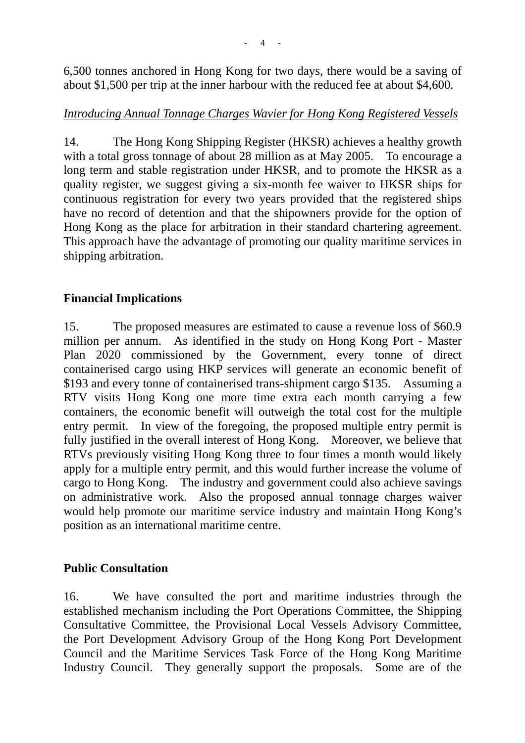6,500 tonnes anchored in Hong Kong for two days, there would be a saving of about \$1,500 per trip at the inner harbour with the reduced fee at about \$4,600.

### *Introducing Annual Tonnage Charges Wavier for Hong Kong Registered Vessels*

14. The Hong Kong Shipping Register (HKSR) achieves a healthy growth with a total gross tonnage of about 28 million as at May 2005. To encourage a long term and stable registration under HKSR, and to promote the HKSR as a quality register, we suggest giving a six-month fee waiver to HKSR ships for continuous registration for every two years provided that the registered ships have no record of detention and that the shipowners provide for the option of Hong Kong as the place for arbitration in their standard chartering agreement. This approach have the advantage of promoting our quality maritime services in shipping arbitration.

# **Financial Implications**

15. The proposed measures are estimated to cause a revenue loss of \$60.9 million per annum. As identified in the study on Hong Kong Port - Master Plan 2020 commissioned by the Government, every tonne of direct containerised cargo using HKP services will generate an economic benefit of \$193 and every tonne of containerised trans-shipment cargo \$135. Assuming a RTV visits Hong Kong one more time extra each month carrying a few containers, the economic benefit will outweigh the total cost for the multiple entry permit. In view of the foregoing, the proposed multiple entry permit is fully justified in the overall interest of Hong Kong. Moreover, we believe that RTVs previously visiting Hong Kong three to four times a month would likely apply for a multiple entry permit, and this would further increase the volume of cargo to Hong Kong. The industry and government could also achieve savings on administrative work. Also the proposed annual tonnage charges waiver would help promote our maritime service industry and maintain Hong Kong's position as an international maritime centre.

#### **Public Consultation**

16. We have consulted the port and maritime industries through the established mechanism including the Port Operations Committee, the Shipping Consultative Committee, the Provisional Local Vessels Advisory Committee, the Port Development Advisory Group of the Hong Kong Port Development Council and the Maritime Services Task Force of the Hong Kong Maritime Industry Council. They generally support the proposals. Some are of the